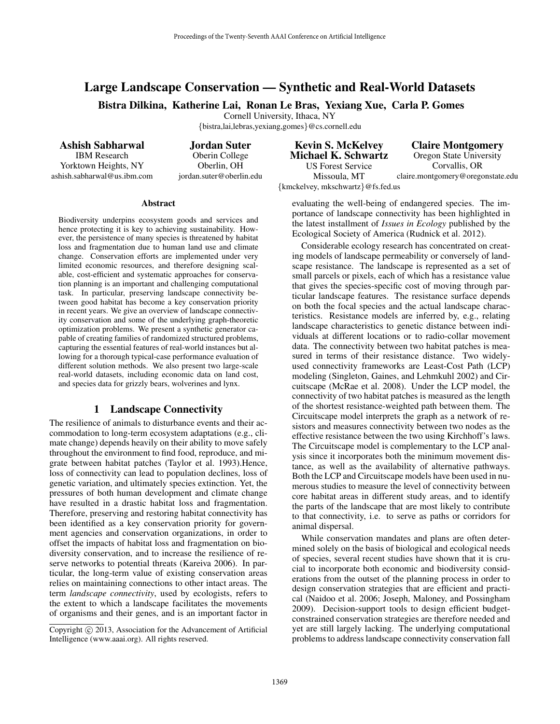# Large Landscape Conservation — Synthetic and Real-World Datasets

Bistra Dilkina, Katherine Lai, Ronan Le Bras, Yexiang Xue, Carla P. Gomes

Cornell University, Ithaca, NY

*{*bistra,lai,lebras,yexiang,gomes*}*@cs.cornell.edu

Ashish Sabharwal IBM Research Yorktown Heights, NY ashish.sabharwal@us.ibm.com

Jordan Suter Oberin College Oberlin, OH jordan.suter@oberlin.edu

Kevin S. McKelvey Michael K. Schwartz

US Forest Service Missoula, MT *{*kmckelvey, mkschwartz*}*@fs.fed.us

Claire Montgomery Oregon State University Corvallis, OR claire.montgomery@oregonstate.edu

Abstract

Biodiversity underpins ecosystem goods and services and hence protecting it is key to achieving sustainability. However, the persistence of many species is threatened by habitat loss and fragmentation due to human land use and climate change. Conservation efforts are implemented under very limited economic resources, and therefore designing scalable, cost-efficient and systematic approaches for conservation planning is an important and challenging computational task. In particular, preserving landscape connectivity between good habitat has become a key conservation priority in recent years. We give an overview of landscape connectivity conservation and some of the underlying graph-theoretic optimization problems. We present a synthetic generator capable of creating families of randomized structured problems, capturing the essential features of real-world instances but allowing for a thorough typical-case performance evaluation of different solution methods. We also present two large-scale real-world datasets, including economic data on land cost, and species data for grizzly bears, wolverines and lynx.

### 1 Landscape Connectivity

The resilience of animals to disturbance events and their accommodation to long-term ecosystem adaptations (e.g., climate change) depends heavily on their ability to move safely throughout the environment to find food, reproduce, and migrate between habitat patches (Taylor et al. 1993).Hence, loss of connectivity can lead to population declines, loss of genetic variation, and ultimately species extinction. Yet, the pressures of both human development and climate change have resulted in a drastic habitat loss and fragmentation. Therefore, preserving and restoring habitat connectivity has been identified as a key conservation priority for government agencies and conservation organizations, in order to offset the impacts of habitat loss and fragmentation on biodiversity conservation, and to increase the resilience of reserve networks to potential threats (Kareiva 2006). In particular, the long-term value of existing conservation areas relies on maintaining connections to other intact areas. The term *landscape connectivity*, used by ecologists, refers to the extent to which a landscape facilitates the movements of organisms and their genes, and is an important factor in

evaluating the well-being of endangered species. The importance of landscape connectivity has been highlighted in the latest installment of *Issues in Ecology* published by the Ecological Society of America (Rudnick et al. 2012).

Considerable ecology research has concentrated on creating models of landscape permeability or conversely of landscape resistance. The landscape is represented as a set of small parcels or pixels, each of which has a resistance value that gives the species-specific cost of moving through particular landscape features. The resistance surface depends on both the focal species and the actual landscape characteristics. Resistance models are inferred by, e.g., relating landscape characteristics to genetic distance between individuals at different locations or to radio-collar movement data. The connectivity between two habitat patches is measured in terms of their resistance distance. Two widelyused connectivity frameworks are Least-Cost Path (LCP) modeling (Singleton, Gaines, and Lehmkuhl 2002) and Circuitscape (McRae et al. 2008). Under the LCP model, the connectivity of two habitat patches is measured as the length of the shortest resistance-weighted path between them. The Circuitscape model interprets the graph as a network of resistors and measures connectivity between two nodes as the effective resistance between the two using Kirchhoff's laws. The Circuitscape model is complementary to the LCP analysis since it incorporates both the minimum movement distance, as well as the availability of alternative pathways. Both the LCP and Circuitscape models have been used in numerous studies to measure the level of connectivity between core habitat areas in different study areas, and to identify the parts of the landscape that are most likely to contribute to that connectivity, i.e. to serve as paths or corridors for animal dispersal.

While conservation mandates and plans are often determined solely on the basis of biological and ecological needs of species, several recent studies have shown that it is crucial to incorporate both economic and biodiversity considerations from the outset of the planning process in order to design conservation strategies that are efficient and practical (Naidoo et al. 2006; Joseph, Maloney, and Possingham 2009). Decision-support tools to design efficient budgetconstrained conservation strategies are therefore needed and yet are still largely lacking. The underlying computational problems to address landscape connectivity conservation fall

Copyright (c) 2013, Association for the Advancement of Artificial Intelligence (www.aaai.org). All rights reserved.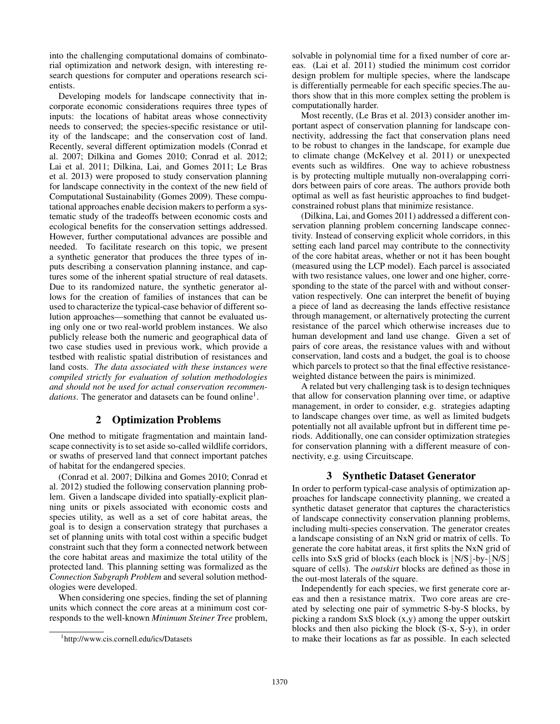into the challenging computational domains of combinatorial optimization and network design, with interesting research questions for computer and operations research scientists.

Developing models for landscape connectivity that incorporate economic considerations requires three types of inputs: the locations of habitat areas whose connectivity needs to conserved; the species-specific resistance or utility of the landscape; and the conservation cost of land. Recently, several different optimization models (Conrad et al. 2007; Dilkina and Gomes 2010; Conrad et al. 2012; Lai et al. 2011; Dilkina, Lai, and Gomes 2011; Le Bras et al. 2013) were proposed to study conservation planning for landscape connectivity in the context of the new field of Computational Sustainability (Gomes 2009). These computational approaches enable decision makers to perform a systematic study of the tradeoffs between economic costs and ecological benefits for the conservation settings addressed. However, further computational advances are possible and needed. To facilitate research on this topic, we present a synthetic generator that produces the three types of inputs describing a conservation planning instance, and captures some of the inherent spatial structure of real datasets. Due to its randomized nature, the synthetic generator allows for the creation of families of instances that can be used to characterize the typical-case behavior of different solution approaches—something that cannot be evaluated using only one or two real-world problem instances. We also publicly release both the numeric and geographical data of two case studies used in previous work, which provide a testbed with realistic spatial distribution of resistances and land costs. *The data associated with these instances were compiled strictly for evaluation of solution methodologies and should not be used for actual conservation recommendations*. The generator and datasets can be found online<sup>1</sup>.

## 2 Optimization Problems

One method to mitigate fragmentation and maintain landscape connectivity is to set aside so-called wildlife corridors, or swaths of preserved land that connect important patches of habitat for the endangered species.

(Conrad et al. 2007; Dilkina and Gomes 2010; Conrad et al. 2012) studied the following conservation planning problem. Given a landscape divided into spatially-explicit planning units or pixels associated with economic costs and species utility, as well as a set of core habitat areas, the goal is to design a conservation strategy that purchases a set of planning units with total cost within a specific budget constraint such that they form a connected network between the core habitat areas and maximize the total utility of the protected land. This planning setting was formalized as the *Connection Subgraph Problem* and several solution methodologies were developed.

When considering one species, finding the set of planning units which connect the core areas at a minimum cost corresponds to the well-known *Minimum Steiner Tree* problem,

solvable in polynomial time for a fixed number of core areas. (Lai et al. 2011) studied the minimum cost corridor design problem for multiple species, where the landscape is differentially permeable for each specific species.The authors show that in this more complex setting the problem is computationally harder.

Most recently, (Le Bras et al. 2013) consider another important aspect of conservation planning for landscape connectivity, addressing the fact that conservation plans need to be robust to changes in the landscape, for example due to climate change (McKelvey et al. 2011) or unexpected events such as wildfires. One way to achieve robustness is by protecting multiple mutually non-overalapping corridors between pairs of core areas. The authors provide both optimal as well as fast heuristic approaches to find budgetconstrained robust plans that minimize resistance.

(Dilkina, Lai, and Gomes 2011) addressed a different conservation planning problem concerning landscape connectivity. Instead of conserving explicit whole corridors, in this setting each land parcel may contribute to the connectivity of the core habitat areas, whether or not it has been bought (measured using the LCP model). Each parcel is associated with two resistance values, one lower and one higher, corresponding to the state of the parcel with and without conservation respectively. One can interpret the benefit of buying a piece of land as decreasing the lands effective resistance through management, or alternatively protecting the current resistance of the parcel which otherwise increases due to human development and land use change. Given a set of pairs of core areas, the resistance values with and without conservation, land costs and a budget, the goal is to choose which parcels to protect so that the final effective resistanceweighted distance between the pairs is minimized.

A related but very challenging task is to design techniques that allow for conservation planning over time, or adaptive management, in order to consider, e.g. strategies adapting to landscape changes over time, as well as limited budgets potentially not all available upfront but in different time periods. Additionally, one can consider optimization strategies for conservation planning with a different measure of connectivity, e.g. using Circuitscape.

## 3 Synthetic Dataset Generator

In order to perform typical-case analysis of optimization approaches for landscape connectivity planning, we created a synthetic dataset generator that captures the characteristics of landscape connectivity conservation planning problems, including multi-species conservation. The generator creates a landscape consisting of an NxN grid or matrix of cells. To generate the core habitat areas, it first splits the NxN grid of cells into SxS grid of blocks (each block is  $|N/S|-by-|N/S|$ square of cells). The *outskirt* blocks are defined as those in the out-most laterals of the square.

Independently for each species, we first generate core areas and then a resistance matrix. Two core areas are created by selecting one pair of symmetric S-by-S blocks, by picking a random SxS block (x,y) among the upper outskirt blocks and then also picking the block (S-x, S-y), in order to make their locations as far as possible. In each selected

<sup>1</sup> http://www.cis.cornell.edu/ics/Datasets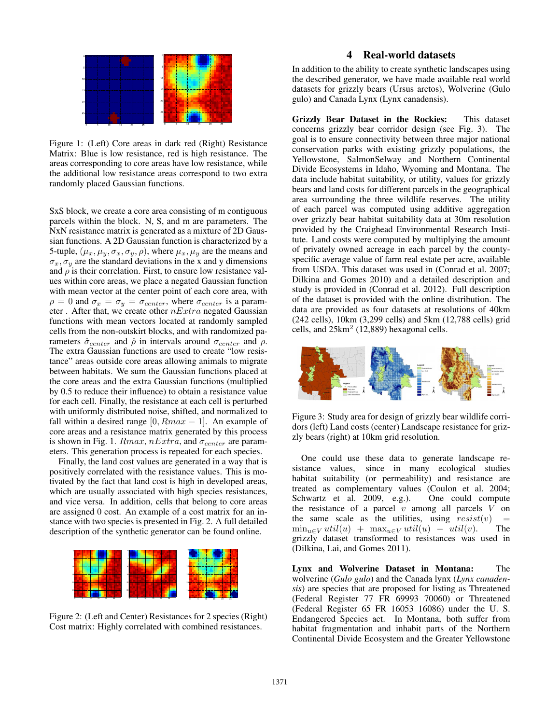

Figure 1: (Left) Core areas in dark red (Right) Resistance Matrix: Blue is low resistance, red is high resistance. The areas corresponding to core areas have low resistance, while the additional low resistance areas correspond to two extra randomly placed Gaussian functions.

SxS block, we create a core area consisting of m contiguous parcels within the block. N, S, and m are parameters. The NxN resistance matrix is generated as a mixture of 2D Gaussian functions. A 2D Gaussian function is characterized by a 5-tuple,  $(\mu_x, \mu_y, \sigma_x, \sigma_y, \rho)$ , where  $\mu_x, \mu_y$  are the means and  $\sigma_x$ ,  $\sigma_y$  are the standard deviations in the x and y dimensions and  $\rho$  is their correlation. First, to ensure low resistance values within core areas, we place a negated Gaussian function with mean vector at the center point of each core area, with  $\rho = 0$  and  $\sigma_x = \sigma_y = \sigma_{center}$ , where  $\sigma_{center}$  is a parameter . After that, we create other *nExtra* negated Gaussian functions with mean vectors located at randomly sampled cells from the non-outskirt blocks, and with randomized parameters  $\hat{\sigma}_{center}$  and  $\hat{\rho}$  in intervals around  $\sigma_{center}$  and  $\rho$ . The extra Gaussian functions are used to create "low resistance" areas outside core areas allowing animals to migrate between habitats. We sum the Gaussian functions placed at the core areas and the extra Gaussian functions (multiplied by 0.5 to reduce their influence) to obtain a resistance value for each cell. Finally, the resistance at each cell is perturbed with uniformly distributed noise, shifted, and normalized to fall within a desired range  $[0, Rmax - 1]$ . An example of core areas and a resistance matrix generated by this process is shown in Fig. 1.  $Rmax$ ,  $nExtra$ , and  $\sigma_{center}$  are parameters. This generation process is repeated for each species.

Finally, the land cost values are generated in a way that is positively correlated with the resistance values. This is motivated by the fact that land cost is high in developed areas, which are usually associated with high species resistances, and vice versa. In addition, cells that belong to core areas are assigned 0 cost. An example of a cost matrix for an instance with two species is presented in Fig. 2. A full detailed description of the synthetic generator can be found online.



Figure 2: (Left and Center) Resistances for 2 species (Right) Cost matrix: Highly correlated with combined resistances.

## 4 Real-world datasets

In addition to the ability to create synthetic landscapes using the described generator, we have made available real world datasets for grizzly bears (Ursus arctos), Wolverine (Gulo gulo) and Canada Lynx (Lynx canadensis).

Grizzly Bear Dataset in the Rockies: This dataset concerns grizzly bear corridor design (see Fig. 3). The goal is to ensure connectivity between three major national conservation parks with existing grizzly populations, the Yellowstone, SalmonSelway and Northern Continental Divide Ecosystems in Idaho, Wyoming and Montana. The data include habitat suitability, or utility, values for grizzly bears and land costs for different parcels in the geographical area surrounding the three wildlife reserves. The utility of each parcel was computed using additive aggregation over grizzly bear habitat suitability data at 30m resolution provided by the Craighead Environmental Research Institute. Land costs were computed by multiplying the amount of privately owned acreage in each parcel by the countyspecific average value of farm real estate per acre, available from USDA. This dataset was used in (Conrad et al. 2007; Dilkina and Gomes 2010) and a detailed description and study is provided in (Conrad et al. 2012). Full description of the dataset is provided with the online distribution. The data are provided as four datasets at resolutions of 40km (242 cells), 10km (3,299 cells) and 5km (12,788 cells) grid cells, and  $25 \text{km}^2$  (12,889) hexagonal cells.



Figure 3: Study area for design of grizzly bear wildlife corridors (left) Land costs (center) Landscape resistance for grizzly bears (right) at 10km grid resolution.

One could use these data to generate landscape resistance values, since in many ecological studies habitat suitability (or permeability) and resistance are treated as complementary values (Coulon et al. 2004; Schwartz et al. 2009, e.g.). One could compute the resistance of a parcel *v* among all parcels *V* on the same scale as the utilities, using  $resist(v)$  =  $\min_{u \in V} util(u) + \max_{u \in V} util(u) - util(v).$  The grizzly dataset transformed to resistances was used in (Dilkina, Lai, and Gomes 2011).

Lynx and Wolverine Dataset in Montana: The wolverine (*Gulo gulo*) and the Canada lynx (*Lynx canadensis*) are species that are proposed for listing as Threatened (Federal Register 77 FR 69993 70060) or Threatened (Federal Register 65 FR 16053 16086) under the U. S. Endangered Species act. In Montana, both suffer from habitat fragmentation and inhabit parts of the Northern Continental Divide Ecosystem and the Greater Yellowstone